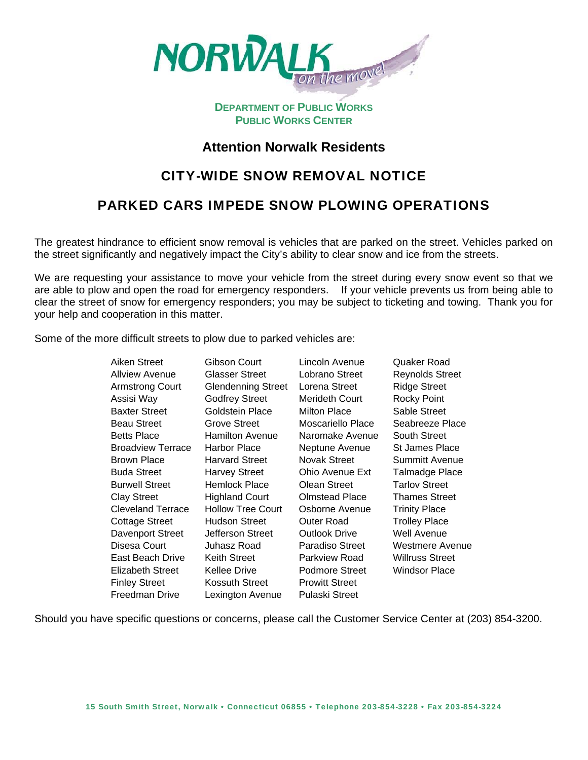

### **DEPARTMENT OF PUBLIC WORKS PUBLIC WORKS CENTER**

### **Attention Norwalk Residents**

# CITY-WIDE SNOW REMOVAL NOTICE

# PARKED CARS IMPEDE SNOW PLOWING OPERATIONS

The greatest hindrance to efficient snow removal is vehicles that are parked on the street. Vehicles parked on the street significantly and negatively impact the City's ability to clear snow and ice from the streets.

We are requesting your assistance to move your vehicle from the street during every snow event so that we are able to plow and open the road for emergency responders. If your vehicle prevents us from being able to clear the street of snow for emergency responders; you may be subject to ticketing and towing. Thank you for your help and cooperation in this matter.

Some of the more difficult streets to plow due to parked vehicles are:

| Aiken Street             | Gibson Court              | Lincoln Avenue        | Quaker Road            |
|--------------------------|---------------------------|-----------------------|------------------------|
| <b>Allview Avenue</b>    | <b>Glasser Street</b>     | Lobrano Street        | <b>Reynolds Street</b> |
| <b>Armstrong Court</b>   | <b>Glendenning Street</b> | Lorena Street         | <b>Ridge Street</b>    |
| Assisi Way               | <b>Godfrey Street</b>     | Merideth Court        | <b>Rocky Point</b>     |
| <b>Baxter Street</b>     | Goldstein Place           | <b>Milton Place</b>   | Sable Street           |
| <b>Beau Street</b>       | Grove Street              | Moscariello Place     | Seabreeze Place        |
| <b>Betts Place</b>       | <b>Hamilton Avenue</b>    | Naromake Avenue       | South Street           |
| <b>Broadview Terrace</b> | <b>Harbor Place</b>       | Neptune Avenue        | St James Place         |
| Brown Place              | <b>Harvard Street</b>     | Novak Street          | <b>Summitt Avenue</b>  |
| <b>Buda Street</b>       | <b>Harvey Street</b>      | Ohio Avenue Ext       | Talmadge Place         |
| <b>Burwell Street</b>    | Hemlock Place             | Olean Street          | <b>Tarlov Street</b>   |
| <b>Clay Street</b>       | <b>Highland Court</b>     | <b>Olmstead Place</b> | <b>Thames Street</b>   |
| <b>Cleveland Terrace</b> | <b>Hollow Tree Court</b>  | Osborne Avenue        | <b>Trinity Place</b>   |
| <b>Cottage Street</b>    | Hudson Street             | Outer Road            | <b>Trolley Place</b>   |
| Davenport Street         | Jefferson Street          | Outlook Drive         | Well Avenue            |
| Disesa Court             | Juhasz Road               | Paradiso Street       | Westmere Avenue        |
| East Beach Drive         | Keith Street              | Parkview Road         | Willruss Street        |
| <b>Elizabeth Street</b>  | Kellee Drive              | Podmore Street        | Windsor Place          |
| <b>Finley Street</b>     | Kossuth Street            | <b>Prowitt Street</b> |                        |
| Freedman Drive           | Lexington Avenue          | Pulaski Street        |                        |

Should you have specific questions or concerns, please call the Customer Service Center at (203) 854-3200.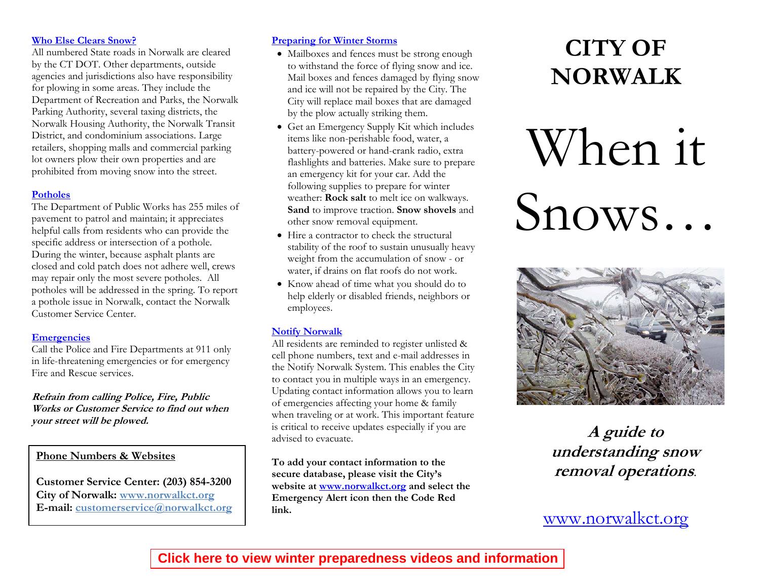### **Who Else Clears Snow?**

All numbered State roads in Norwalk are cleared by the CT DOT. Other departments, outside agencies and jurisdictions also have responsibility for plowing in some areas. They include the Department of Recreation and Parks, the Norwalk Parking Authority, several taxing districts, the Norwalk Housing Authority, the Norwalk Transit District, and condominium associations. Large retailers, shopping malls and commercial parking lot owners plow their own properties and are prohibited from moving snow into the street.

### **Potholes**

The Department of Public Works has 255 miles of pavement to patrol and maintain; it appreciates helpful calls from residents who can provide the specific address or intersection of a pothole. During the winter, because asphalt plants are closed and cold patch does not adhere well, crews may repair only the most severe potholes. All potholes will be addressed in the spring. To report a pothole issue in Norwalk, contact the Norwalk Customer Service Center.

### **Emergencies**

Call the Police and Fire Departments at 911 only in life-threatening emergencies or for emergency Fire and Rescue services.

**Refrain from calling Police, Fire, Public Works or Customer Service to find out when your street will be plowed.** 

### **Phone Numbers & Websites**

**Customer Service Center: (203) 854-3200 City of Norwalk: www.norwalkct.org E-mail:** customerservice@norwalkct.org

### **Preparing for Winter Storms**

- Mailboxes and fences must be strong enough to withstand the force of flying snow and ice. Mail boxes and fences damaged by flying snow and ice will not be repaired by the City. The City will replace mail boxes that are damaged by the plow actually striking them.
- Get an [Emergency Supply Kit](http://www.ready.gov/america/getakit/index.html) which includes items like non-perishable food, water, a battery-powered or hand-crank radio, extra flashlights and batteries. Make sure to prepare an emergency kit for your car. Add the following supplies to prepare for winter weather: **Rock salt** to melt ice on walkways. **Sand** to improve traction. **Snow shovels** and other snow removal equipment.
- Hire a contractor to check the structural stability of the roof to sustain unusually heavy weight from the accumulation of snow - or water, if drains on flat roofs do not work.
- Know ahead of time what you should do to help elderly or disabled friends, neighbors or employees.

### **Notify Norwalk**

All residents are reminded to register unlisted & cell phone numbers, text and e-mail addresses in the Notify Norwalk System. This enables the City to contact you in multiple ways in an emergency. Updating contact information allows you to learn of emergencies affecting your home & family when traveling or at work. This important feature is critical to receive updates especially if you are advised to evacuate.

**To add your contact information to the secure database, please visit the City's website at [www.norwalkct.org](http://www.norwalkct.org/) and select the Emergency Alert icon then the Code Red link.** 

# **CITY OF NORWALK**

# When it Snows…



**A guide to understanding snow removal operations**.

**customerservice@norwalkct.org** [www.norwalkct.org](http://www.norwalkct.org/)

## **[Click here to view winter preparedness videos and information](http://www.norwalkct.org/index.aspx?NID=1294)**